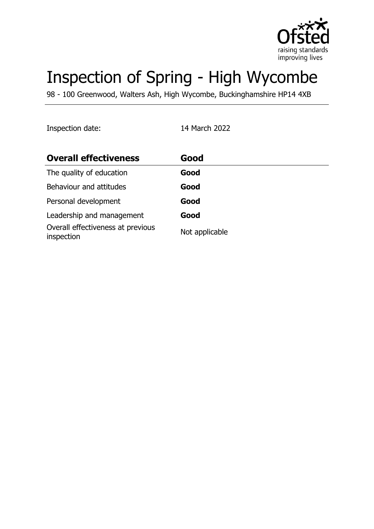

# Inspection of Spring - High Wycombe

98 - 100 Greenwood, Walters Ash, High Wycombe, Buckinghamshire HP14 4XB

Inspection date: 14 March 2022

| <b>Overall effectiveness</b>                    | Good           |
|-------------------------------------------------|----------------|
| The quality of education                        | Good           |
| Behaviour and attitudes                         | Good           |
| Personal development                            | Good           |
| Leadership and management                       | Good           |
| Overall effectiveness at previous<br>inspection | Not applicable |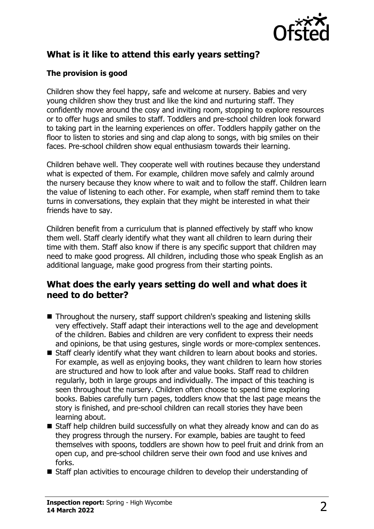

## **What is it like to attend this early years setting?**

#### **The provision is good**

Children show they feel happy, safe and welcome at nursery. Babies and very young children show they trust and like the kind and nurturing staff. They confidently move around the cosy and inviting room, stopping to explore resources or to offer hugs and smiles to staff. Toddlers and pre-school children look forward to taking part in the learning experiences on offer. Toddlers happily gather on the floor to listen to stories and sing and clap along to songs, with big smiles on their faces. Pre-school children show equal enthusiasm towards their learning.

Children behave well. They cooperate well with routines because they understand what is expected of them. For example, children move safely and calmly around the nursery because they know where to wait and to follow the staff. Children learn the value of listening to each other. For example, when staff remind them to take turns in conversations, they explain that they might be interested in what their friends have to say.

Children benefit from a curriculum that is planned effectively by staff who know them well. Staff clearly identify what they want all children to learn during their time with them. Staff also know if there is any specific support that children may need to make good progress. All children, including those who speak English as an additional language, make good progress from their starting points.

### **What does the early years setting do well and what does it need to do better?**

- $\blacksquare$  Throughout the nursery, staff support children's speaking and listening skills very effectively. Staff adapt their interactions well to the age and development of the children. Babies and children are very confident to express their needs and opinions, be that using gestures, single words or more-complex sentences.
- $\blacksquare$  Staff clearly identify what they want children to learn about books and stories. For example, as well as enjoying books, they want children to learn how stories are structured and how to look after and value books. Staff read to children regularly, both in large groups and individually. The impact of this teaching is seen throughout the nursery. Children often choose to spend time exploring books. Babies carefully turn pages, toddlers know that the last page means the story is finished, and pre-school children can recall stories they have been learning about.
- $\blacksquare$  Staff help children build successfully on what they already know and can do as they progress through the nursery. For example, babies are taught to feed themselves with spoons, toddlers are shown how to peel fruit and drink from an open cup, and pre-school children serve their own food and use knives and forks.
- $\blacksquare$  Staff plan activities to encourage children to develop their understanding of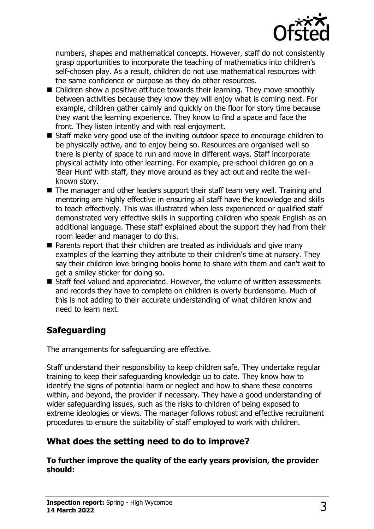

numbers, shapes and mathematical concepts. However, staff do not consistently grasp opportunities to incorporate the teaching of mathematics into children's self-chosen play. As a result, children do not use mathematical resources with the same confidence or purpose as they do other resources.

- $\blacksquare$  Children show a positive attitude towards their learning. They move smoothly between activities because they know they will enjoy what is coming next. For example, children gather calmly and quickly on the floor for story time because they want the learning experience. They know to find a space and face the front. They listen intently and with real enjoyment.
- Staff make very good use of the inviting outdoor space to encourage children to be physically active, and to enjoy being so. Resources are organised well so there is plenty of space to run and move in different ways. Staff incorporate physical activity into other learning. For example, pre-school children go on a 'Bear Hunt' with staff, they move around as they act out and recite the wellknown story.
- The manager and other leaders support their staff team very well. Training and mentoring are highly effective in ensuring all staff have the knowledge and skills to teach effectively. This was illustrated when less experienced or qualified staff demonstrated very effective skills in supporting children who speak English as an additional language. These staff explained about the support they had from their room leader and manager to do this.
- $\blacksquare$  Parents report that their children are treated as individuals and give many examples of the learning they attribute to their children's time at nursery. They say their children love bringing books home to share with them and can't wait to get a smiley sticker for doing so.
- Staff feel valued and appreciated. However, the volume of written assessments and records they have to complete on children is overly burdensome. Much of this is not adding to their accurate understanding of what children know and need to learn next.

# **Safeguarding**

The arrangements for safeguarding are effective.

Staff understand their responsibility to keep children safe. They undertake regular training to keep their safeguarding knowledge up to date. They know how to identify the signs of potential harm or neglect and how to share these concerns within, and beyond, the provider if necessary. They have a good understanding of wider safeguarding issues, such as the risks to children of being exposed to extreme ideologies or views. The manager follows robust and effective recruitment procedures to ensure the suitability of staff employed to work with children.

# **What does the setting need to do to improve?**

**To further improve the quality of the early years provision, the provider should:**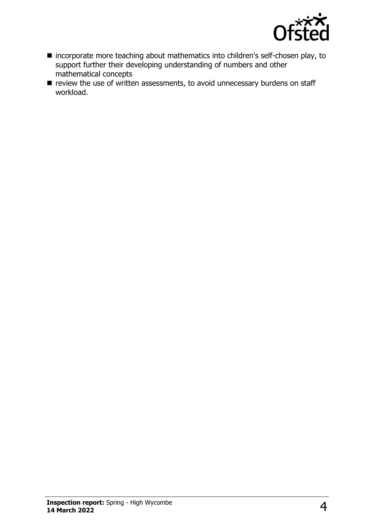

- incorporate more teaching about mathematics into children's self-chosen play, to support further their developing understanding of numbers and other mathematical concepts
- $\blacksquare$  review the use of written assessments, to avoid unnecessary burdens on staff workload.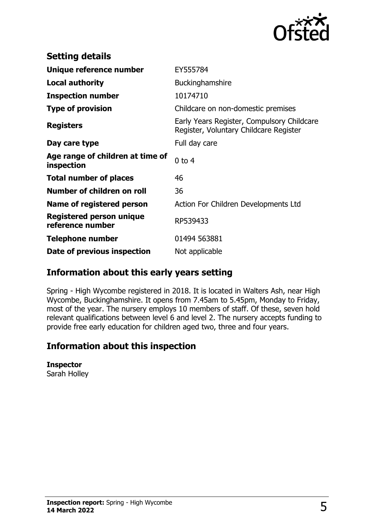

| <b>Setting details</b>                         |                                                                                      |
|------------------------------------------------|--------------------------------------------------------------------------------------|
| Unique reference number                        | EY555784                                                                             |
| <b>Local authority</b>                         | Buckinghamshire                                                                      |
| <b>Inspection number</b>                       | 10174710                                                                             |
| <b>Type of provision</b>                       | Childcare on non-domestic premises                                                   |
| <b>Registers</b>                               | Early Years Register, Compulsory Childcare<br>Register, Voluntary Childcare Register |
| Day care type                                  | Full day care                                                                        |
| Age range of children at time of<br>inspection | $0$ to 4                                                                             |
| <b>Total number of places</b>                  | 46                                                                                   |
| Number of children on roll                     | 36                                                                                   |
| Name of registered person                      | Action For Children Developments Ltd                                                 |
| Registered person unique<br>reference number   | RP539433                                                                             |
| <b>Telephone number</b>                        | 01494 563881                                                                         |
| Date of previous inspection                    | Not applicable                                                                       |

# **Information about this early years setting**

Spring - High Wycombe registered in 2018. It is located in Walters Ash, near High Wycombe, Buckinghamshire. It opens from 7.45am to 5.45pm, Monday to Friday, most of the year. The nursery employs 10 members of staff. Of these, seven hold relevant qualifications between level 6 and level 2. The nursery accepts funding to provide free early education for children aged two, three and four years.

### **Information about this inspection**

#### **Inspector**

Sarah Holley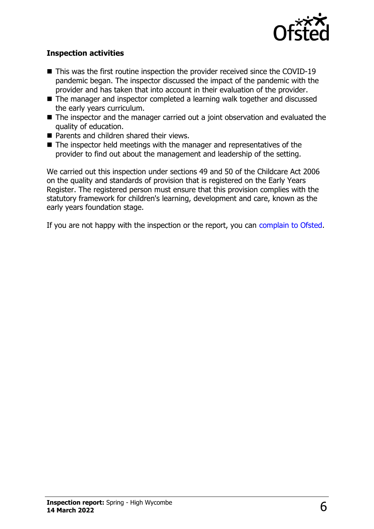

#### **Inspection activities**

- $\blacksquare$  This was the first routine inspection the provider received since the COVID-19 pandemic began. The inspector discussed the impact of the pandemic with the provider and has taken that into account in their evaluation of the provider.
- The manager and inspector completed a learning walk together and discussed the early years curriculum.
- $\blacksquare$  The inspector and the manager carried out a joint observation and evaluated the quality of education.
- $\blacksquare$  Parents and children shared their views.
- $\blacksquare$  The inspector held meetings with the manager and representatives of the provider to find out about the management and leadership of the setting.

We carried out this inspection under sections 49 and 50 of the Childcare Act 2006 on the quality and standards of provision that is registered on the Early Years Register. The registered person must ensure that this provision complies with the statutory framework for children's learning, development and care, known as the early years foundation stage.

If you are not happy with the inspection or the report, you can [complain to Ofsted](http://www.gov.uk/complain-ofsted-report).